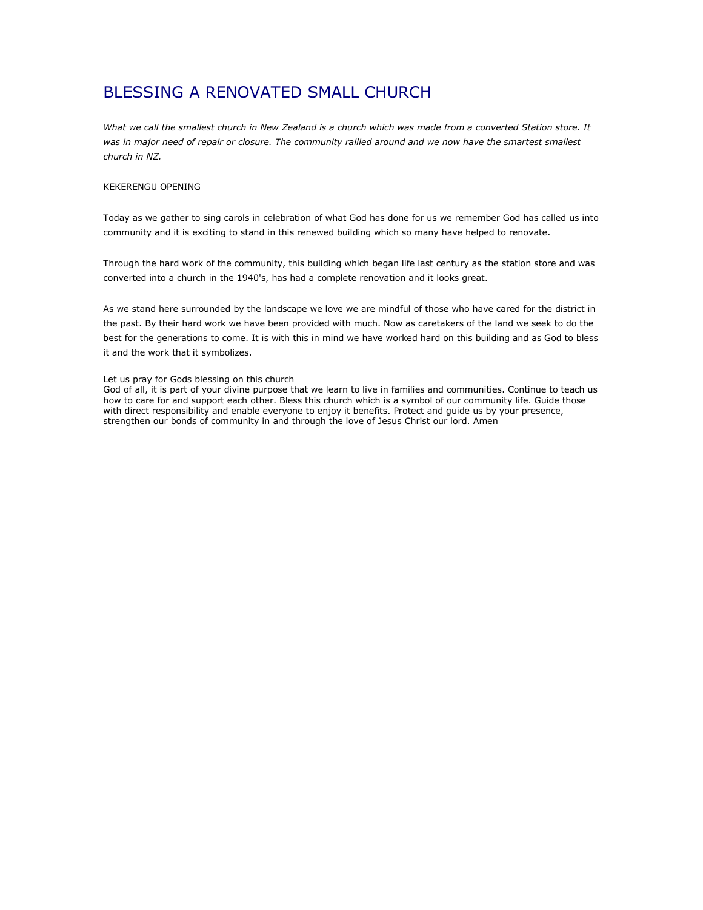# BLESSING A RENOVATED SMALL CHURCH

What we call the smallest church in New Zealand is a church which was made from a converted Station store. It was in major need of repair or closure. The community rallied around and we now have the smartest smallest church in NZ.

## KEKERENGU OPENING

Today as we gather to sing carols in celebration of what God has done for us we remember God has called us into community and it is exciting to stand in this renewed building which so many have helped to renovate.

Through the hard work of the community, this building which began life last century as the station store and was converted into a church in the 1940's, has had a complete renovation and it looks great.

As we stand here surrounded by the landscape we love we are mindful of those who have cared for the district in the past. By their hard work we have been provided with much. Now as caretakers of the land we seek to do the best for the generations to come. It is with this in mind we have worked hard on this building and as God to bless it and the work that it symbolizes.

### Let us pray for Gods blessing on this church

God of all, it is part of your divine purpose that we learn to live in families and communities. Continue to teach us how to care for and support each other. Bless this church which is a symbol of our community life. Guide those with direct responsibility and enable everyone to enjoy it benefits. Protect and guide us by your presence, strengthen our bonds of community in and through the love of Jesus Christ our lord. Amen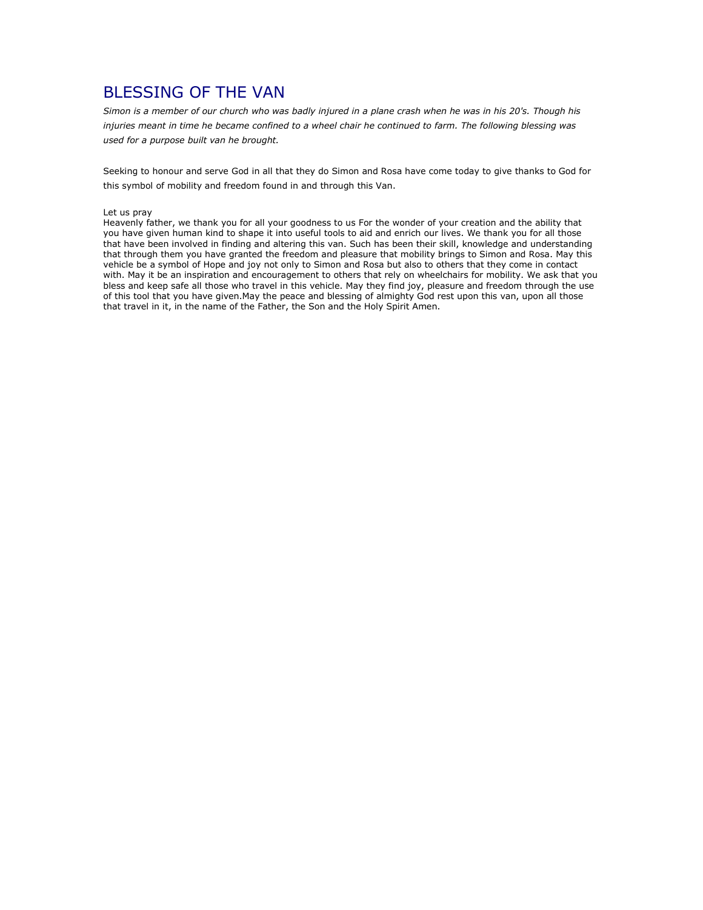# BLESSING OF THE VAN

Simon is a member of our church who was badly injured in a plane crash when he was in his 20's. Though his injuries meant in time he became confined to a wheel chair he continued to farm. The following blessing was used for a purpose built van he brought.

Seeking to honour and serve God in all that they do Simon and Rosa have come today to give thanks to God for this symbol of mobility and freedom found in and through this Van.

#### Let us pray

Heavenly father, we thank you for all your goodness to us For the wonder of your creation and the ability that you have given human kind to shape it into useful tools to aid and enrich our lives. We thank you for all those that have been involved in finding and altering this van. Such has been their skill, knowledge and understanding that through them you have granted the freedom and pleasure that mobility brings to Simon and Rosa. May this vehicle be a symbol of Hope and joy not only to Simon and Rosa but also to others that they come in contact with. May it be an inspiration and encouragement to others that rely on wheelchairs for mobility. We ask that you bless and keep safe all those who travel in this vehicle. May they find joy, pleasure and freedom through the use of this tool that you have given.May the peace and blessing of almighty God rest upon this van, upon all those that travel in it, in the name of the Father, the Son and the Holy Spirit Amen.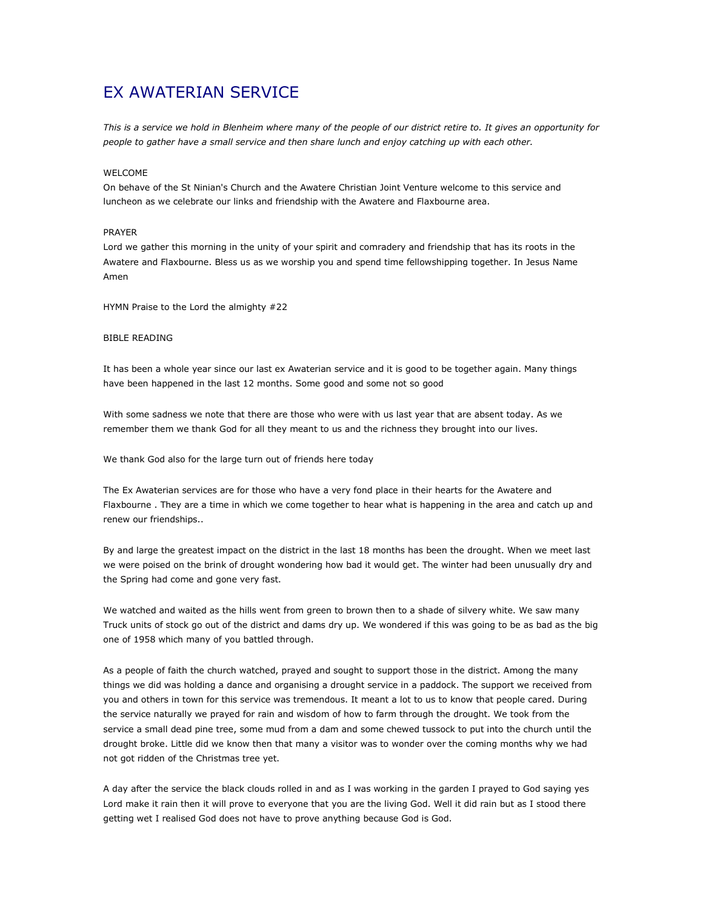# EX AWATERIAN SERVICE

This is a service we hold in Blenheim where many of the people of our district retire to. It gives an opportunity for people to gather have a small service and then share lunch and enjoy catching up with each other.

## WELCOME

On behave of the St Ninian's Church and the Awatere Christian Joint Venture welcome to this service and luncheon as we celebrate our links and friendship with the Awatere and Flaxbourne area.

## PRAYER

Lord we gather this morning in the unity of your spirit and comradery and friendship that has its roots in the Awatere and Flaxbourne. Bless us as we worship you and spend time fellowshipping together. In Jesus Name Amen

HYMN Praise to the Lord the almighty #22

## BIBLE READING

It has been a whole year since our last ex Awaterian service and it is good to be together again. Many things have been happened in the last 12 months. Some good and some not so good

With some sadness we note that there are those who were with us last year that are absent today. As we remember them we thank God for all they meant to us and the richness they brought into our lives.

We thank God also for the large turn out of friends here today

The Ex Awaterian services are for those who have a very fond place in their hearts for the Awatere and Flaxbourne . They are a time in which we come together to hear what is happening in the area and catch up and renew our friendships..

By and large the greatest impact on the district in the last 18 months has been the drought. When we meet last we were poised on the brink of drought wondering how bad it would get. The winter had been unusually dry and the Spring had come and gone very fast.

We watched and waited as the hills went from green to brown then to a shade of silvery white. We saw many Truck units of stock go out of the district and dams dry up. We wondered if this was going to be as bad as the big one of 1958 which many of you battled through.

As a people of faith the church watched, prayed and sought to support those in the district. Among the many things we did was holding a dance and organising a drought service in a paddock. The support we received from you and others in town for this service was tremendous. It meant a lot to us to know that people cared. During the service naturally we prayed for rain and wisdom of how to farm through the drought. We took from the service a small dead pine tree, some mud from a dam and some chewed tussock to put into the church until the drought broke. Little did we know then that many a visitor was to wonder over the coming months why we had not got ridden of the Christmas tree yet.

A day after the service the black clouds rolled in and as I was working in the garden I prayed to God saying yes Lord make it rain then it will prove to everyone that you are the living God. Well it did rain but as I stood there getting wet I realised God does not have to prove anything because God is God.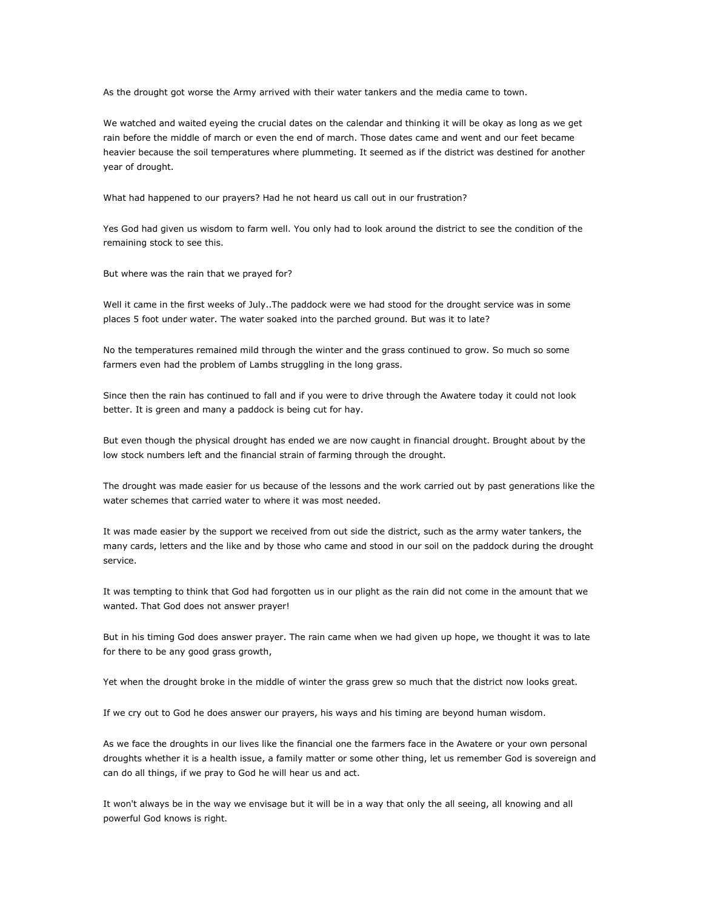As the drought got worse the Army arrived with their water tankers and the media came to town.

We watched and waited eyeing the crucial dates on the calendar and thinking it will be okay as long as we get rain before the middle of march or even the end of march. Those dates came and went and our feet became heavier because the soil temperatures where plummeting. It seemed as if the district was destined for another year of drought.

What had happened to our prayers? Had he not heard us call out in our frustration?

Yes God had given us wisdom to farm well. You only had to look around the district to see the condition of the remaining stock to see this.

But where was the rain that we prayed for?

Well it came in the first weeks of July..The paddock were we had stood for the drought service was in some places 5 foot under water. The water soaked into the parched ground. But was it to late?

No the temperatures remained mild through the winter and the grass continued to grow. So much so some farmers even had the problem of Lambs struggling in the long grass.

Since then the rain has continued to fall and if you were to drive through the Awatere today it could not look better. It is green and many a paddock is being cut for hay.

But even though the physical drought has ended we are now caught in financial drought. Brought about by the low stock numbers left and the financial strain of farming through the drought.

The drought was made easier for us because of the lessons and the work carried out by past generations like the water schemes that carried water to where it was most needed.

It was made easier by the support we received from out side the district, such as the army water tankers, the many cards, letters and the like and by those who came and stood in our soil on the paddock during the drought service.

It was tempting to think that God had forgotten us in our plight as the rain did not come in the amount that we wanted. That God does not answer prayer!

But in his timing God does answer prayer. The rain came when we had given up hope, we thought it was to late for there to be any good grass growth,

Yet when the drought broke in the middle of winter the grass grew so much that the district now looks great.

If we cry out to God he does answer our prayers, his ways and his timing are beyond human wisdom.

As we face the droughts in our lives like the financial one the farmers face in the Awatere or your own personal droughts whether it is a health issue, a family matter or some other thing, let us remember God is sovereign and can do all things, if we pray to God he will hear us and act.

It won't always be in the way we envisage but it will be in a way that only the all seeing, all knowing and all powerful God knows is right.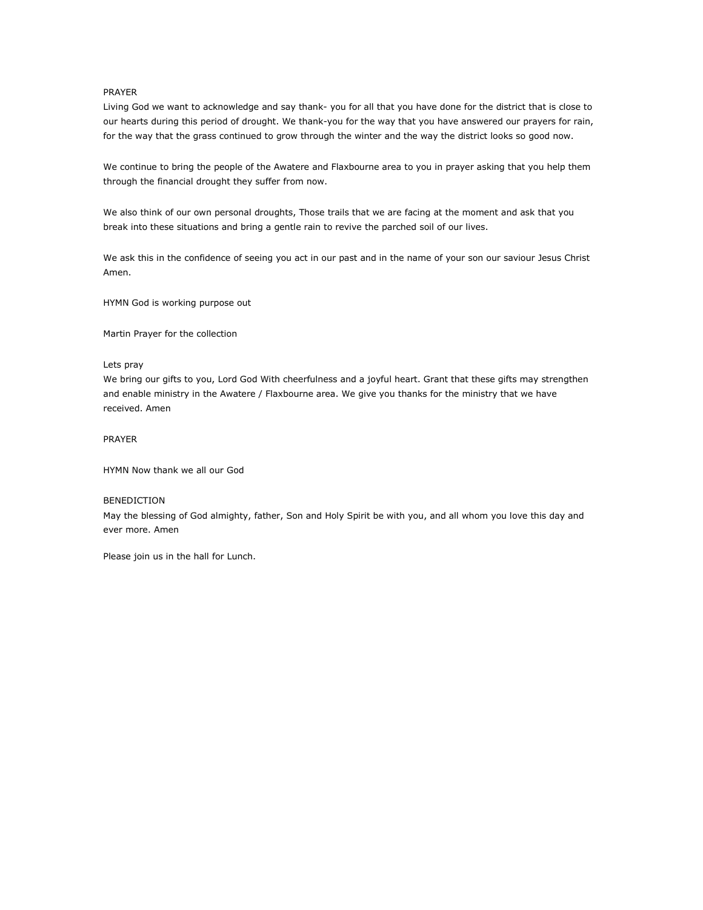## PRAYER

Living God we want to acknowledge and say thank- you for all that you have done for the district that is close to our hearts during this period of drought. We thank-you for the way that you have answered our prayers for rain, for the way that the grass continued to grow through the winter and the way the district looks so good now.

We continue to bring the people of the Awatere and Flaxbourne area to you in prayer asking that you help them through the financial drought they suffer from now.

We also think of our own personal droughts, Those trails that we are facing at the moment and ask that you break into these situations and bring a gentle rain to revive the parched soil of our lives.

We ask this in the confidence of seeing you act in our past and in the name of your son our saviour Jesus Christ Amen.

HYMN God is working purpose out

Martin Prayer for the collection

## Lets pray

We bring our gifts to you, Lord God With cheerfulness and a joyful heart. Grant that these gifts may strengthen and enable ministry in the Awatere / Flaxbourne area. We give you thanks for the ministry that we have received. Amen

## PRAYER

HYMN Now thank we all our God

## BENEDICTION

May the blessing of God almighty, father, Son and Holy Spirit be with you, and all whom you love this day and ever more. Amen

Please join us in the hall for Lunch.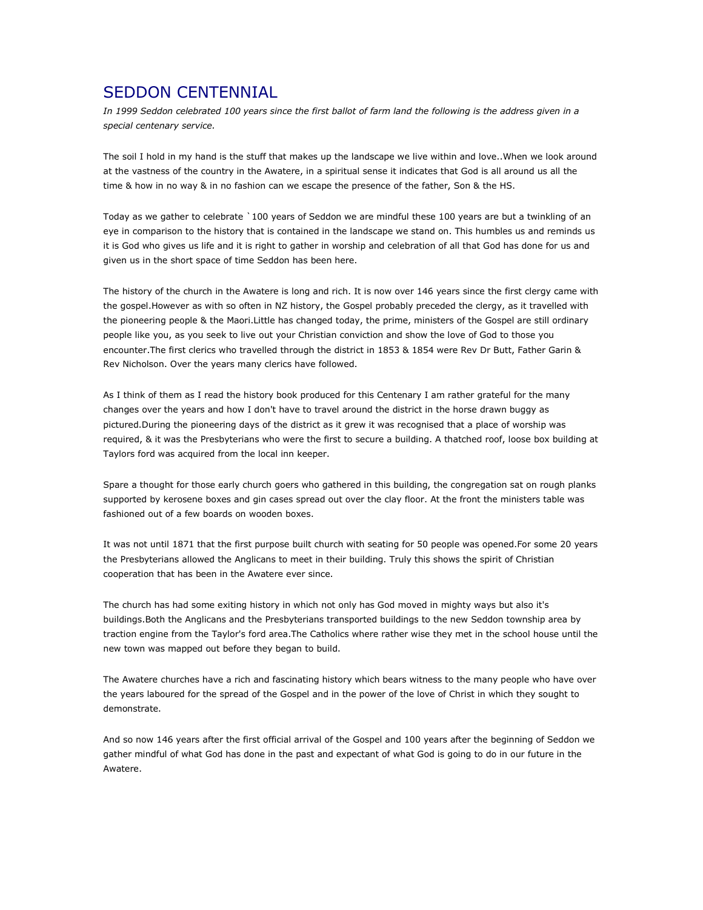## SEDDON CENTENNIAL

In 1999 Seddon celebrated 100 years since the first ballot of farm land the following is the address given in a special centenary service.

The soil I hold in my hand is the stuff that makes up the landscape we live within and love..When we look around at the vastness of the country in the Awatere, in a spiritual sense it indicates that God is all around us all the time & how in no way & in no fashion can we escape the presence of the father, Son & the HS.

Today as we gather to celebrate `100 years of Seddon we are mindful these 100 years are but a twinkling of an eye in comparison to the history that is contained in the landscape we stand on. This humbles us and reminds us it is God who gives us life and it is right to gather in worship and celebration of all that God has done for us and given us in the short space of time Seddon has been here.

The history of the church in the Awatere is long and rich. It is now over 146 years since the first clergy came with the gospel.However as with so often in NZ history, the Gospel probably preceded the clergy, as it travelled with the pioneering people & the Maori.Little has changed today, the prime, ministers of the Gospel are still ordinary people like you, as you seek to live out your Christian conviction and show the love of God to those you encounter.The first clerics who travelled through the district in 1853 & 1854 were Rev Dr Butt, Father Garin & Rev Nicholson. Over the years many clerics have followed.

As I think of them as I read the history book produced for this Centenary I am rather grateful for the many changes over the years and how I don't have to travel around the district in the horse drawn buggy as pictured.During the pioneering days of the district as it grew it was recognised that a place of worship was required, & it was the Presbyterians who were the first to secure a building. A thatched roof, loose box building at Taylors ford was acquired from the local inn keeper.

Spare a thought for those early church goers who gathered in this building, the congregation sat on rough planks supported by kerosene boxes and gin cases spread out over the clay floor. At the front the ministers table was fashioned out of a few boards on wooden boxes.

It was not until 1871 that the first purpose built church with seating for 50 people was opened.For some 20 years the Presbyterians allowed the Anglicans to meet in their building. Truly this shows the spirit of Christian cooperation that has been in the Awatere ever since.

The church has had some exiting history in which not only has God moved in mighty ways but also it's buildings.Both the Anglicans and the Presbyterians transported buildings to the new Seddon township area by traction engine from the Taylor's ford area.The Catholics where rather wise they met in the school house until the new town was mapped out before they began to build.

The Awatere churches have a rich and fascinating history which bears witness to the many people who have over the years laboured for the spread of the Gospel and in the power of the love of Christ in which they sought to demonstrate.

And so now 146 years after the first official arrival of the Gospel and 100 years after the beginning of Seddon we gather mindful of what God has done in the past and expectant of what God is going to do in our future in the Awatere.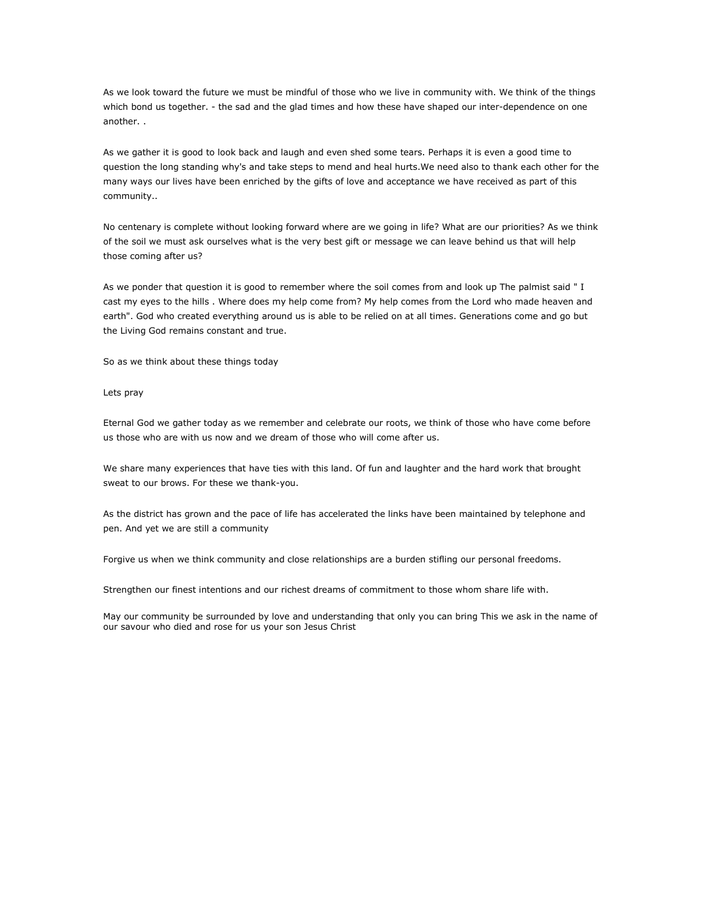As we look toward the future we must be mindful of those who we live in community with. We think of the things which bond us together. - the sad and the glad times and how these have shaped our inter-dependence on one another. .

As we gather it is good to look back and laugh and even shed some tears. Perhaps it is even a good time to question the long standing why's and take steps to mend and heal hurts.We need also to thank each other for the many ways our lives have been enriched by the gifts of love and acceptance we have received as part of this community..

No centenary is complete without looking forward where are we going in life? What are our priorities? As we think of the soil we must ask ourselves what is the very best gift or message we can leave behind us that will help those coming after us?

As we ponder that question it is good to remember where the soil comes from and look up The palmist said " I cast my eyes to the hills . Where does my help come from? My help comes from the Lord who made heaven and earth". God who created everything around us is able to be relied on at all times. Generations come and go but the Living God remains constant and true.

So as we think about these things today

## Lets pray

Eternal God we gather today as we remember and celebrate our roots, we think of those who have come before us those who are with us now and we dream of those who will come after us.

We share many experiences that have ties with this land. Of fun and laughter and the hard work that brought sweat to our brows. For these we thank-you.

As the district has grown and the pace of life has accelerated the links have been maintained by telephone and pen. And yet we are still a community

Forgive us when we think community and close relationships are a burden stifling our personal freedoms.

Strengthen our finest intentions and our richest dreams of commitment to those whom share life with.

May our community be surrounded by love and understanding that only you can bring This we ask in the name of our savour who died and rose for us your son Jesus Christ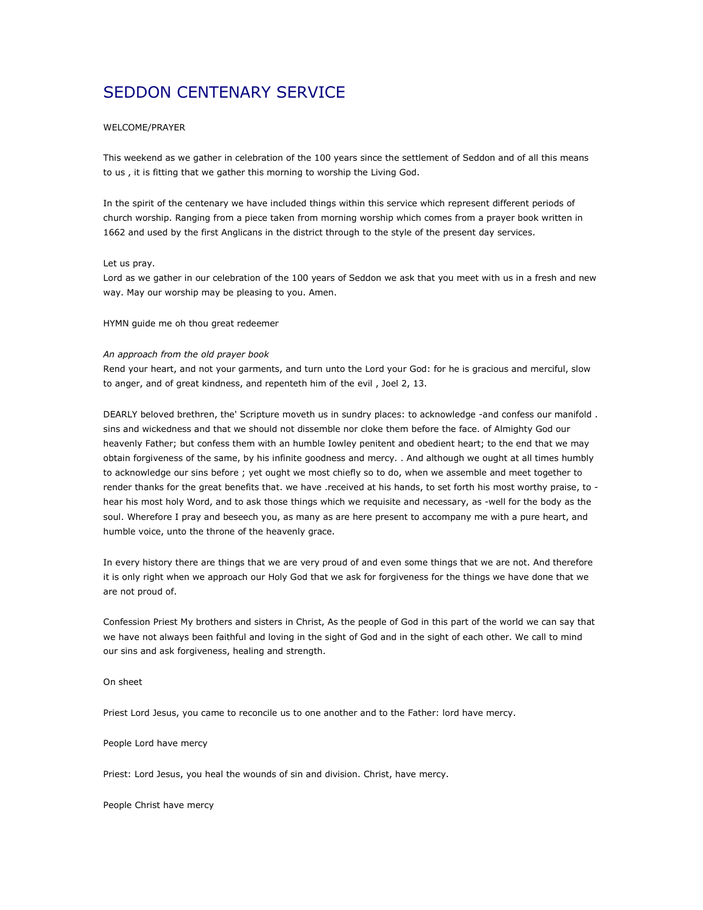# SEDDON CENTENARY SERVICE

## WELCOME/PRAYER

This weekend as we gather in celebration of the 100 years since the settlement of Seddon and of all this means to us , it is fitting that we gather this morning to worship the Living God.

In the spirit of the centenary we have included things within this service which represent different periods of church worship. Ranging from a piece taken from morning worship which comes from a prayer book written in 1662 and used by the first Anglicans in the district through to the style of the present day services.

### Let us pray.

Lord as we gather in our celebration of the 100 years of Seddon we ask that you meet with us in a fresh and new way. May our worship may be pleasing to you. Amen.

HYMN guide me oh thou great redeemer

#### An approach from the old prayer book

Rend your heart, and not your garments, and turn unto the Lord your God: for he is gracious and merciful, slow to anger, and of great kindness, and repenteth him of the evil , Joel 2, 13.

DEARLY beloved brethren, the' Scripture moveth us in sundry places: to acknowledge -and confess our manifold . sins and wickedness and that we should not dissemble nor cloke them before the face. of Almighty God our heavenly Father; but confess them with an humble Iowley penitent and obedient heart; to the end that we may obtain forgiveness of the same, by his infinite goodness and mercy. . And although we ought at all times humbly to acknowledge our sins before ; yet ought we most chiefly so to do, when we assemble and meet together to render thanks for the great benefits that. we have .received at his hands, to set forth his most worthy praise, to hear his most holy Word, and to ask those things which we requisite and necessary, as -well for the body as the soul. Wherefore I pray and beseech you, as many as are here present to accompany me with a pure heart, and humble voice, unto the throne of the heavenly grace.

In every history there are things that we are very proud of and even some things that we are not. And therefore it is only right when we approach our Holy God that we ask for forgiveness for the things we have done that we are not proud of.

Confession Priest My brothers and sisters in Christ, As the people of God in this part of the world we can say that we have not always been faithful and loving in the sight of God and in the sight of each other. We call to mind our sins and ask forgiveness, healing and strength.

#### On sheet

Priest Lord Jesus, you came to reconcile us to one another and to the Father: lord have mercy.

#### People Lord have mercy

Priest: Lord Jesus, you heal the wounds of sin and division. Christ, have mercy.

People Christ have mercy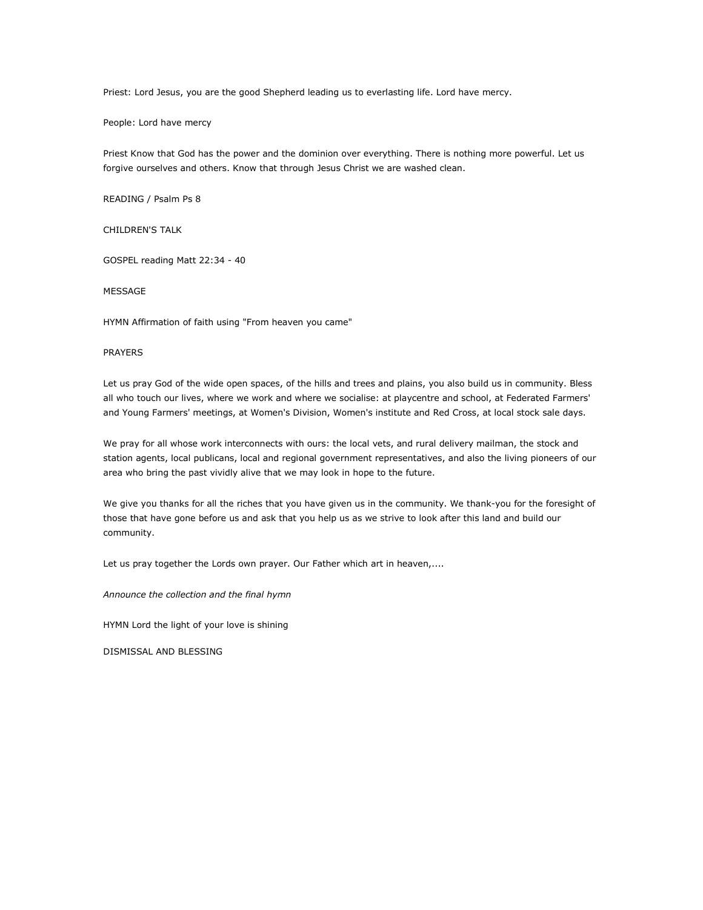Priest: Lord Jesus, you are the good Shepherd leading us to everlasting life. Lord have mercy.

People: Lord have mercy

Priest Know that God has the power and the dominion over everything. There is nothing more powerful. Let us forgive ourselves and others. Know that through Jesus Christ we are washed clean.

READING / Psalm Ps 8

CHILDREN'S TALK

GOSPEL reading Matt 22:34 - 40

MESSAGE

HYMN Affirmation of faith using "From heaven you came"

## PRAYERS

Let us pray God of the wide open spaces, of the hills and trees and plains, you also build us in community. Bless all who touch our lives, where we work and where we socialise: at playcentre and school, at Federated Farmers' and Young Farmers' meetings, at Women's Division, Women's institute and Red Cross, at local stock sale days.

We pray for all whose work interconnects with ours: the local vets, and rural delivery mailman, the stock and station agents, local publicans, local and regional government representatives, and also the living pioneers of our area who bring the past vividly alive that we may look in hope to the future.

We give you thanks for all the riches that you have given us in the community. We thank-you for the foresight of those that have gone before us and ask that you help us as we strive to look after this land and build our community.

Let us pray together the Lords own prayer. Our Father which art in heaven,....

Announce the collection and the final hymn

HYMN Lord the light of your love is shining

DISMISSAL AND BLESSING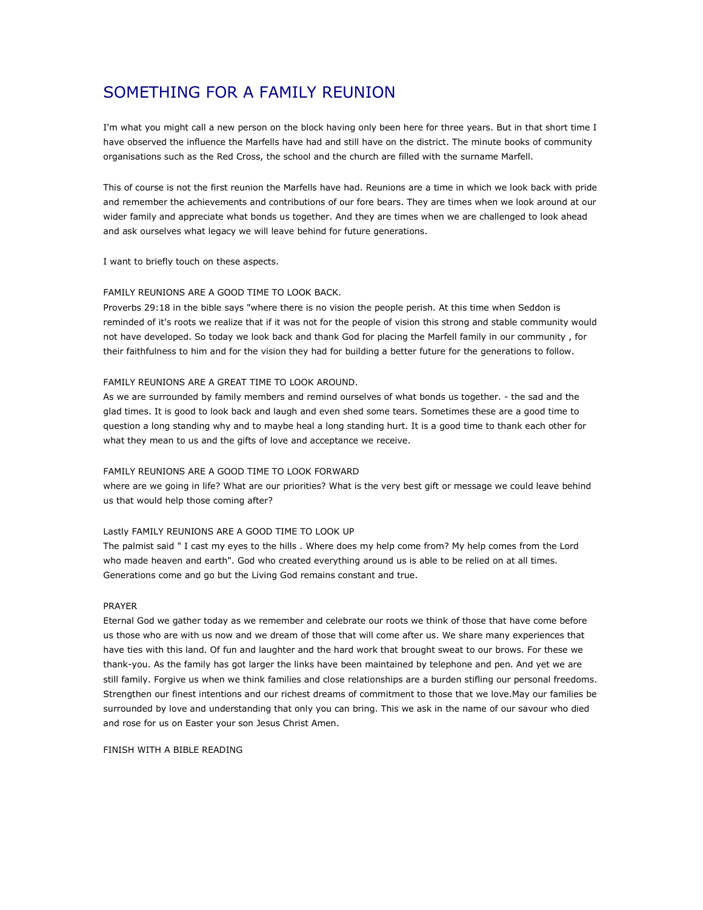# SOMETHING FOR A FAMILY REUNION

I'm what you might call a new person on the block having only been here for three years. But in that short time I have observed the influence the Marfells have had and still have on the district. The minute books of community organisations such as the Red Cross, the school and the church are filled with the surname Marfell.

This of course is not the first reunion the Marfells have had. Reunions are a time in which we look back with pride and remember the achievements and contributions of our fore bears. They are times when we look around at our wider family and appreciate what bonds us together. And they are times when we are challenged to look ahead and ask ourselves what legacy we will leave behind for future generations.

I want to briefly touch on these aspects.

## FAMILY REUNIONS ARE A GOOD TIME TO LOOK BACK.

Proverbs 29:18 in the bible says "where there is no vision the people perish. At this time when Seddon is reminded of it's roots we realize that if it was not for the people of vision this strong and stable community would not have developed. So today we look back and thank God for placing the Marfell family in our community , for their faithfulness to him and for the vision they had for building a better future for the generations to follow.

### FAMILY REUNIONS ARE A GREAT TIME TO LOOK AROUND.

As we are surrounded by family members and remind ourselves of what bonds us together. - the sad and the glad times. It is good to look back and laugh and even shed some tears. Sometimes these are a good time to question a long standing why and to maybe heal a long standing hurt. It is a good time to thank each other for what they mean to us and the gifts of love and acceptance we receive.

## FAMILY REUNIONS ARE A GOOD TIME TO LOOK FORWARD

where are we going in life? What are our priorities? What is the very best gift or message we could leave behind us that would help those coming after?

## Lastly FAMILY REUNIONS ARE A GOOD TIME TO LOOK UP

The palmist said " I cast my eyes to the hills . Where does my help come from? My help comes from the Lord who made heaven and earth". God who created everything around us is able to be relied on at all times. Generations come and go but the Living God remains constant and true.

#### PRAYER

Eternal God we gather today as we remember and celebrate our roots we think of those that have come before us those who are with us now and we dream of those that will come after us. We share many experiences that have ties with this land. Of fun and laughter and the hard work that brought sweat to our brows. For these we thank-you. As the family has got larger the links have been maintained by telephone and pen. And yet we are still family. Forgive us when we think families and close relationships are a burden stifling our personal freedoms. Strengthen our finest intentions and our richest dreams of commitment to those that we love.May our families be surrounded by love and understanding that only you can bring. This we ask in the name of our savour who died and rose for us on Easter your son Jesus Christ Amen.

FINISH WITH A BIBLE READING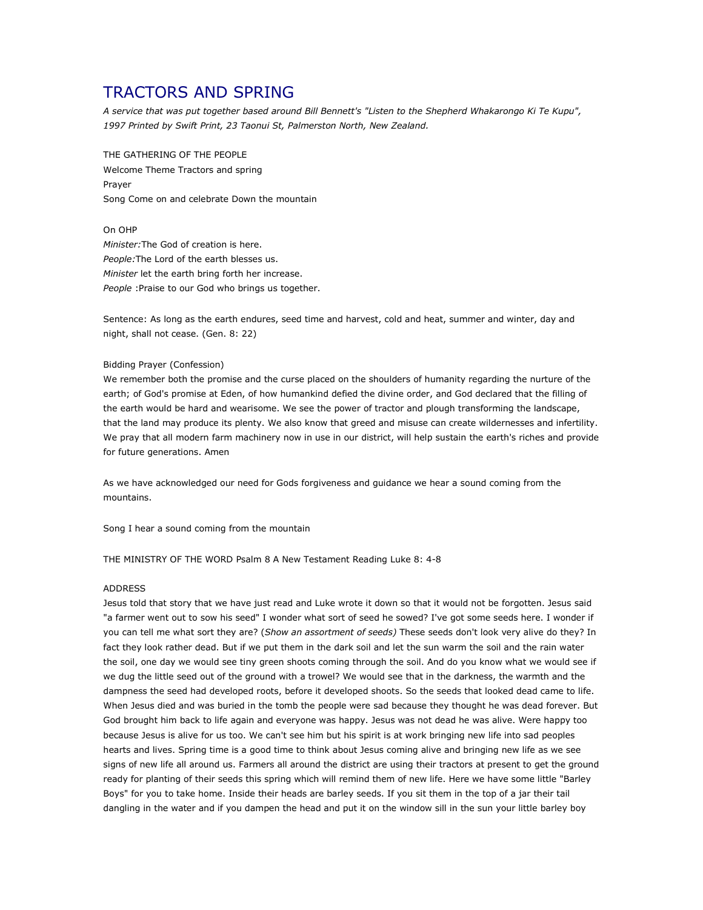## TRACTORS AND SPRING

A service that was put together based around Bill Bennett's "Listen to the Shepherd Whakarongo Ki Te Kupu", 1997 Printed by Swift Print, 23 Taonui St, Palmerston North, New Zealand.

THE GATHERING OF THE PEOPLE Welcome Theme Tractors and spring Prayer Song Come on and celebrate Down the mountain

On OHP Minister:The God of creation is here. People:The Lord of the earth blesses us. Minister let the earth bring forth her increase. People : Praise to our God who brings us together.

Sentence: As long as the earth endures, seed time and harvest, cold and heat, summer and winter, day and night, shall not cease. (Gen. 8: 22)

### Bidding Prayer (Confession)

We remember both the promise and the curse placed on the shoulders of humanity regarding the nurture of the earth; of God's promise at Eden, of how humankind defied the divine order, and God declared that the filling of the earth would be hard and wearisome. We see the power of tractor and plough transforming the landscape, that the land may produce its plenty. We also know that greed and misuse can create wildernesses and infertility. We pray that all modern farm machinery now in use in our district, will help sustain the earth's riches and provide for future generations. Amen

As we have acknowledged our need for Gods forgiveness and guidance we hear a sound coming from the mountains.

Song I hear a sound coming from the mountain

THE MINISTRY OF THE WORD Psalm 8 A New Testament Reading Luke 8: 4-8

## ADDRESS

Jesus told that story that we have just read and Luke wrote it down so that it would not be forgotten. Jesus said "a farmer went out to sow his seed" I wonder what sort of seed he sowed? I've got some seeds here. I wonder if you can tell me what sort they are? (Show an assortment of seeds) These seeds don't look very alive do they? In fact they look rather dead. But if we put them in the dark soil and let the sun warm the soil and the rain water the soil, one day we would see tiny green shoots coming through the soil. And do you know what we would see if we dug the little seed out of the ground with a trowel? We would see that in the darkness, the warmth and the dampness the seed had developed roots, before it developed shoots. So the seeds that looked dead came to life. When Jesus died and was buried in the tomb the people were sad because they thought he was dead forever. But God brought him back to life again and everyone was happy. Jesus was not dead he was alive. Were happy too because Jesus is alive for us too. We can't see him but his spirit is at work bringing new life into sad peoples hearts and lives. Spring time is a good time to think about Jesus coming alive and bringing new life as we see signs of new life all around us. Farmers all around the district are using their tractors at present to get the ground ready for planting of their seeds this spring which will remind them of new life. Here we have some little "Barley Boys" for you to take home. Inside their heads are barley seeds. If you sit them in the top of a jar their tail dangling in the water and if you dampen the head and put it on the window sill in the sun your little barley boy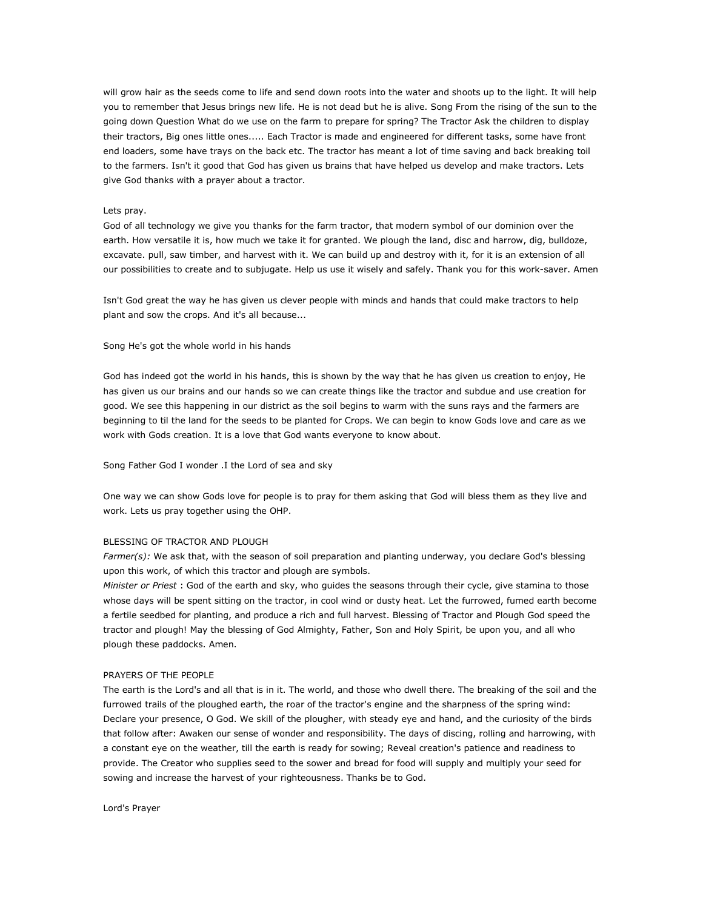will grow hair as the seeds come to life and send down roots into the water and shoots up to the light. It will help you to remember that Jesus brings new life. He is not dead but he is alive. Song From the rising of the sun to the going down Question What do we use on the farm to prepare for spring? The Tractor Ask the children to display their tractors, Big ones little ones..... Each Tractor is made and engineered for different tasks, some have front end loaders, some have trays on the back etc. The tractor has meant a lot of time saving and back breaking toil to the farmers. Isn't it good that God has given us brains that have helped us develop and make tractors. Lets give God thanks with a prayer about a tractor.

#### Lets pray.

God of all technology we give you thanks for the farm tractor, that modern symbol of our dominion over the earth. How versatile it is, how much we take it for granted. We plough the land, disc and harrow, dig, bulldoze, excavate. pull, saw timber, and harvest with it. We can build up and destroy with it, for it is an extension of all our possibilities to create and to subjugate. Help us use it wisely and safely. Thank you for this work-saver. Amen

Isn't God great the way he has given us clever people with minds and hands that could make tractors to help plant and sow the crops. And it's all because...

## Song He's got the whole world in his hands

God has indeed got the world in his hands, this is shown by the way that he has given us creation to enjoy, He has given us our brains and our hands so we can create things like the tractor and subdue and use creation for good. We see this happening in our district as the soil begins to warm with the suns rays and the farmers are beginning to til the land for the seeds to be planted for Crops. We can begin to know Gods love and care as we work with Gods creation. It is a love that God wants everyone to know about.

#### Song Father God I wonder .I the Lord of sea and sky

One way we can show Gods love for people is to pray for them asking that God will bless them as they live and work. Lets us pray together using the OHP.

## BLESSING OF TRACTOR AND PLOUGH

Farmer(s): We ask that, with the season of soil preparation and planting underway, you declare God's blessing upon this work, of which this tractor and plough are symbols.

Minister or Priest : God of the earth and sky, who guides the seasons through their cycle, give stamina to those whose days will be spent sitting on the tractor, in cool wind or dusty heat. Let the furrowed, fumed earth become a fertile seedbed for planting, and produce a rich and full harvest. Blessing of Tractor and Plough God speed the tractor and plough! May the blessing of God Almighty, Father, Son and Holy Spirit, be upon you, and all who plough these paddocks. Amen.

#### PRAYERS OF THE PEOPLE

The earth is the Lord's and all that is in it. The world, and those who dwell there. The breaking of the soil and the furrowed trails of the ploughed earth, the roar of the tractor's engine and the sharpness of the spring wind: Declare your presence, O God. We skill of the plougher, with steady eye and hand, and the curiosity of the birds that follow after: Awaken our sense of wonder and responsibility. The days of discing, rolling and harrowing, with a constant eye on the weather, till the earth is ready for sowing; Reveal creation's patience and readiness to provide. The Creator who supplies seed to the sower and bread for food will supply and multiply your seed for sowing and increase the harvest of your righteousness. Thanks be to God.

#### Lord's Prayer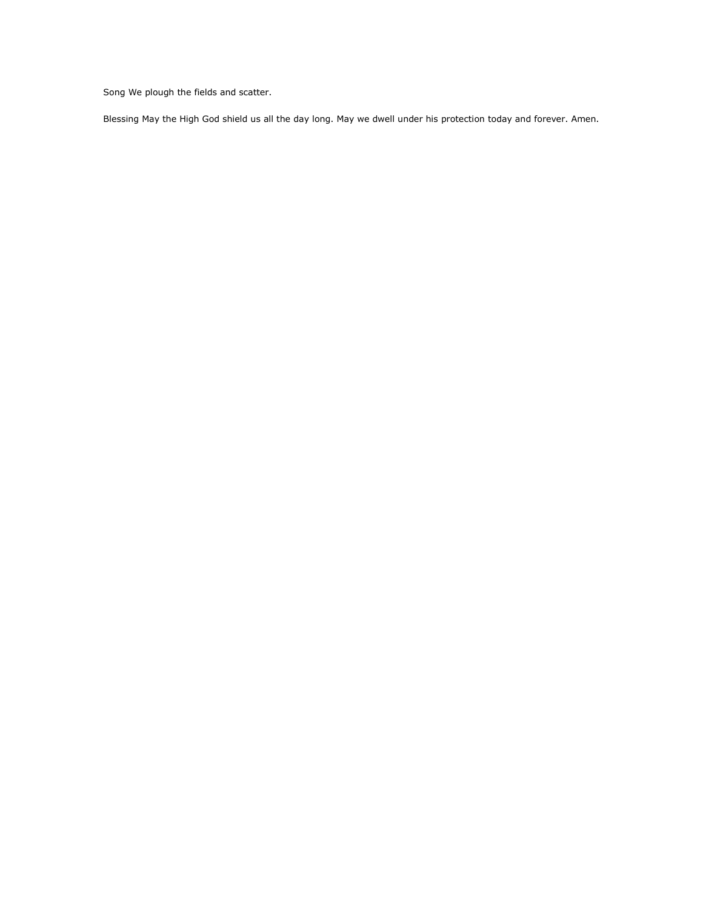Song We plough the fields and scatter.

Blessing May the High God shield us all the day long. May we dwell under his protection today and forever. Amen.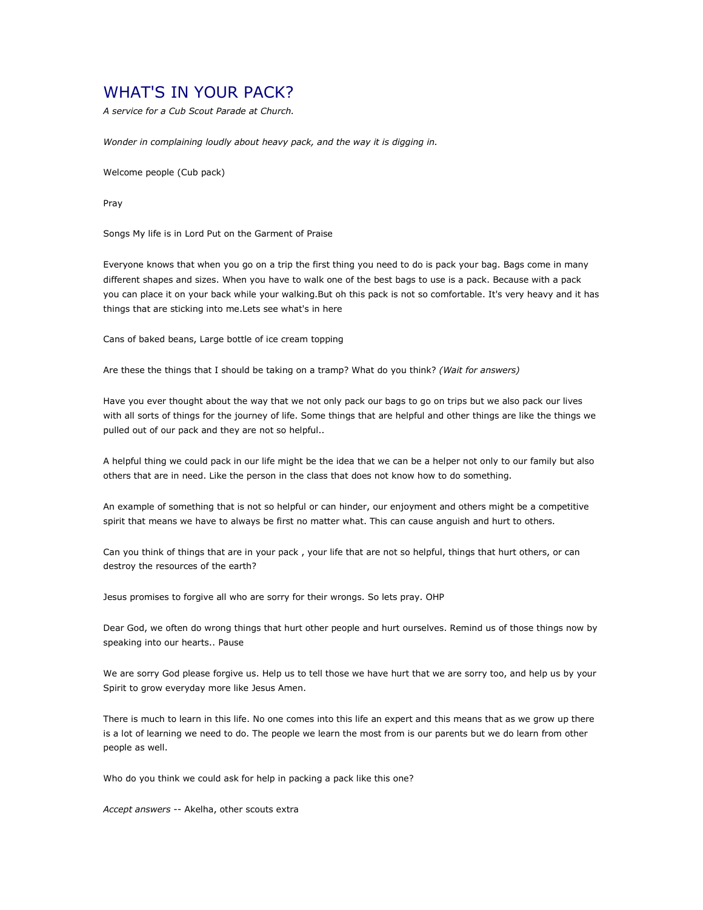## WHAT'S IN YOUR PACK?

A service for a Cub Scout Parade at Church.

Wonder in complaining loudly about heavy pack, and the way it is digging in.

Welcome people (Cub pack)

Pray

Songs My life is in Lord Put on the Garment of Praise

Everyone knows that when you go on a trip the first thing you need to do is pack your bag. Bags come in many different shapes and sizes. When you have to walk one of the best bags to use is a pack. Because with a pack you can place it on your back while your walking.But oh this pack is not so comfortable. It's very heavy and it has things that are sticking into me.Lets see what's in here

Cans of baked beans, Large bottle of ice cream topping

Are these the things that I should be taking on a tramp? What do you think? (Wait for answers)

Have you ever thought about the way that we not only pack our bags to go on trips but we also pack our lives with all sorts of things for the journey of life. Some things that are helpful and other things are like the things we pulled out of our pack and they are not so helpful..

A helpful thing we could pack in our life might be the idea that we can be a helper not only to our family but also others that are in need. Like the person in the class that does not know how to do something.

An example of something that is not so helpful or can hinder, our enjoyment and others might be a competitive spirit that means we have to always be first no matter what. This can cause anguish and hurt to others.

Can you think of things that are in your pack , your life that are not so helpful, things that hurt others, or can destroy the resources of the earth?

Jesus promises to forgive all who are sorry for their wrongs. So lets pray. OHP

Dear God, we often do wrong things that hurt other people and hurt ourselves. Remind us of those things now by speaking into our hearts.. Pause

We are sorry God please forgive us. Help us to tell those we have hurt that we are sorry too, and help us by your Spirit to grow everyday more like Jesus Amen.

There is much to learn in this life. No one comes into this life an expert and this means that as we grow up there is a lot of learning we need to do. The people we learn the most from is our parents but we do learn from other people as well.

Who do you think we could ask for help in packing a pack like this one?

Accept answers -- Akelha, other scouts extra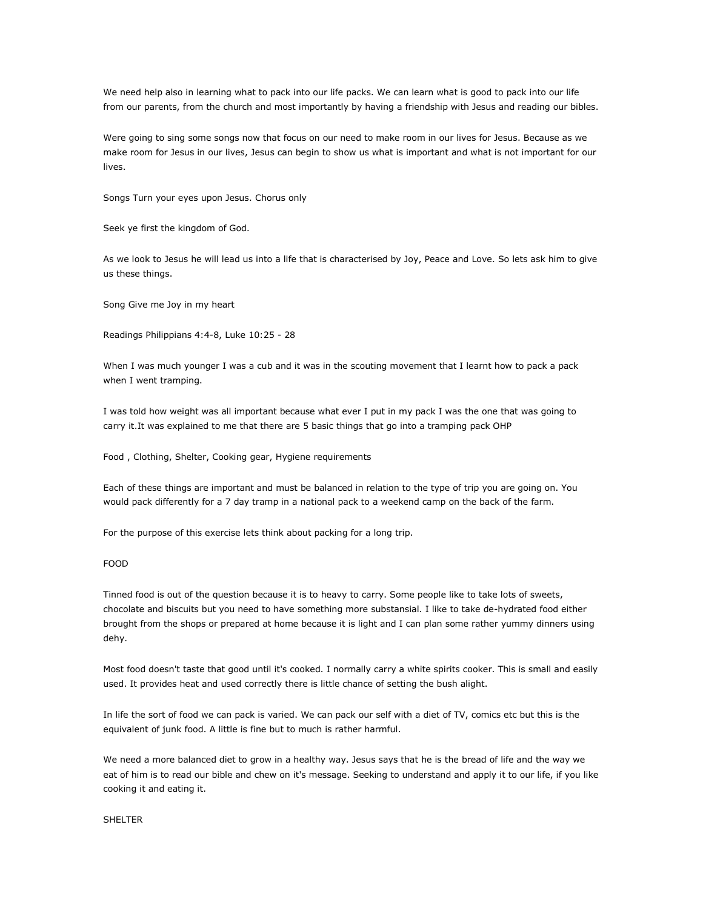We need help also in learning what to pack into our life packs. We can learn what is good to pack into our life from our parents, from the church and most importantly by having a friendship with Jesus and reading our bibles.

Were going to sing some songs now that focus on our need to make room in our lives for Jesus. Because as we make room for Jesus in our lives, Jesus can begin to show us what is important and what is not important for our lives.

Songs Turn your eyes upon Jesus. Chorus only

Seek ye first the kingdom of God.

As we look to Jesus he will lead us into a life that is characterised by Joy, Peace and Love. So lets ask him to give us these things.

Song Give me Joy in my heart

Readings Philippians 4:4-8, Luke 10:25 - 28

When I was much younger I was a cub and it was in the scouting movement that I learnt how to pack a pack when I went tramping.

I was told how weight was all important because what ever I put in my pack I was the one that was going to carry it.It was explained to me that there are 5 basic things that go into a tramping pack OHP

Food , Clothing, Shelter, Cooking gear, Hygiene requirements

Each of these things are important and must be balanced in relation to the type of trip you are going on. You would pack differently for a 7 day tramp in a national pack to a weekend camp on the back of the farm.

For the purpose of this exercise lets think about packing for a long trip.

## FOOD

Tinned food is out of the question because it is to heavy to carry. Some people like to take lots of sweets, chocolate and biscuits but you need to have something more substansial. I like to take de-hydrated food either brought from the shops or prepared at home because it is light and I can plan some rather yummy dinners using dehy.

Most food doesn't taste that good until it's cooked. I normally carry a white spirits cooker. This is small and easily used. It provides heat and used correctly there is little chance of setting the bush alight.

In life the sort of food we can pack is varied. We can pack our self with a diet of TV, comics etc but this is the equivalent of junk food. A little is fine but to much is rather harmful.

We need a more balanced diet to grow in a healthy way. Jesus says that he is the bread of life and the way we eat of him is to read our bible and chew on it's message. Seeking to understand and apply it to our life, if you like cooking it and eating it.

#### SHELTER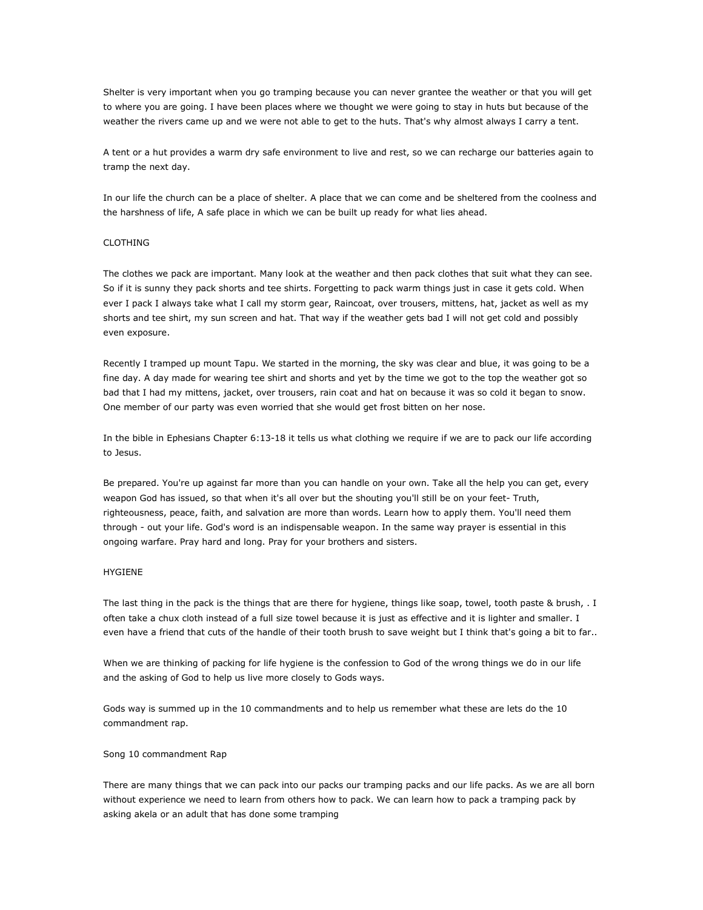Shelter is very important when you go tramping because you can never grantee the weather or that you will get to where you are going. I have been places where we thought we were going to stay in huts but because of the weather the rivers came up and we were not able to get to the huts. That's why almost always I carry a tent.

A tent or a hut provides a warm dry safe environment to live and rest, so we can recharge our batteries again to tramp the next day.

In our life the church can be a place of shelter. A place that we can come and be sheltered from the coolness and the harshness of life, A safe place in which we can be built up ready for what lies ahead.

#### CLOTHING

The clothes we pack are important. Many look at the weather and then pack clothes that suit what they can see. So if it is sunny they pack shorts and tee shirts. Forgetting to pack warm things just in case it gets cold. When ever I pack I always take what I call my storm gear, Raincoat, over trousers, mittens, hat, jacket as well as my shorts and tee shirt, my sun screen and hat. That way if the weather gets bad I will not get cold and possibly even exposure.

Recently I tramped up mount Tapu. We started in the morning, the sky was clear and blue, it was going to be a fine day. A day made for wearing tee shirt and shorts and yet by the time we got to the top the weather got so bad that I had my mittens, jacket, over trousers, rain coat and hat on because it was so cold it began to snow. One member of our party was even worried that she would get frost bitten on her nose.

In the bible in Ephesians Chapter 6:13-18 it tells us what clothing we require if we are to pack our life according to Jesus.

Be prepared. You're up against far more than you can handle on your own. Take all the help you can get, every weapon God has issued, so that when it's all over but the shouting you'll still be on your feet- Truth, righteousness, peace, faith, and salvation are more than words. Learn how to apply them. You'll need them through - out your life. God's word is an indispensable weapon. In the same way prayer is essential in this ongoing warfare. Pray hard and long. Pray for your brothers and sisters.

#### HYGIENE

The last thing in the pack is the things that are there for hygiene, things like soap, towel, tooth paste & brush, . I often take a chux cloth instead of a full size towel because it is just as effective and it is lighter and smaller. I even have a friend that cuts of the handle of their tooth brush to save weight but I think that's going a bit to far..

When we are thinking of packing for life hygiene is the confession to God of the wrong things we do in our life and the asking of God to help us live more closely to Gods ways.

Gods way is summed up in the 10 commandments and to help us remember what these are lets do the 10 commandment rap.

Song 10 commandment Rap

There are many things that we can pack into our packs our tramping packs and our life packs. As we are all born without experience we need to learn from others how to pack. We can learn how to pack a tramping pack by asking akela or an adult that has done some tramping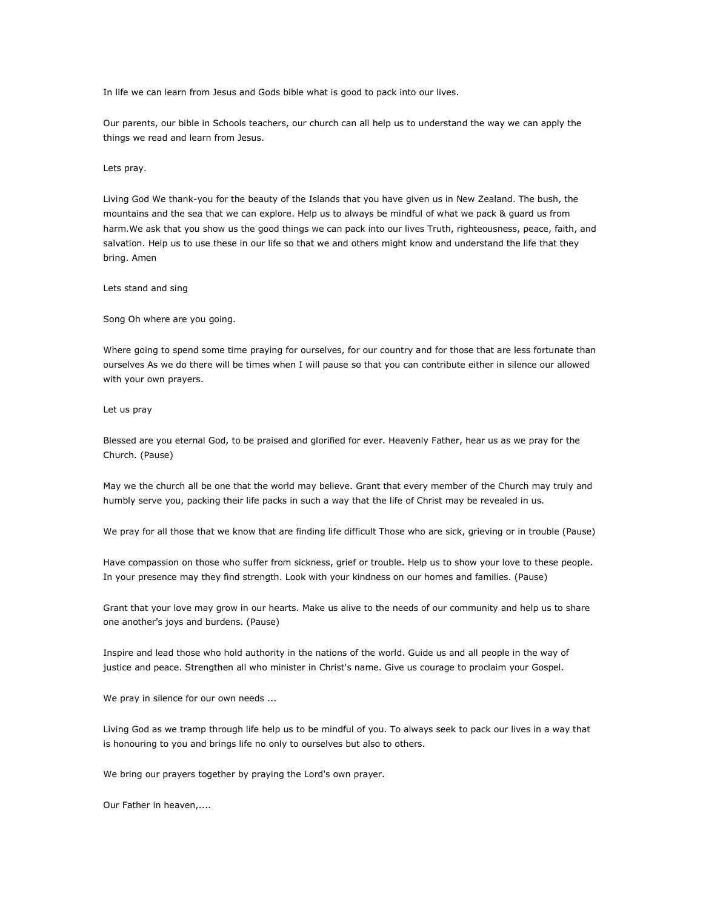In life we can learn from Jesus and Gods bible what is good to pack into our lives.

Our parents, our bible in Schools teachers, our church can all help us to understand the way we can apply the things we read and learn from Jesus.

Lets pray.

Living God We thank-you for the beauty of the Islands that you have given us in New Zealand. The bush, the mountains and the sea that we can explore. Help us to always be mindful of what we pack & guard us from harm.We ask that you show us the good things we can pack into our lives Truth, righteousness, peace, faith, and salvation. Help us to use these in our life so that we and others might know and understand the life that they bring. Amen

Lets stand and sing

Song Oh where are you going.

Where going to spend some time praying for ourselves, for our country and for those that are less fortunate than ourselves As we do there will be times when I will pause so that you can contribute either in silence our allowed with your own prayers.

Let us pray

Blessed are you eternal God, to be praised and glorified for ever. Heavenly Father, hear us as we pray for the Church. (Pause)

May we the church all be one that the world may believe. Grant that every member of the Church may truly and humbly serve you, packing their life packs in such a way that the life of Christ may be revealed in us.

We pray for all those that we know that are finding life difficult Those who are sick, grieving or in trouble (Pause)

Have compassion on those who suffer from sickness, grief or trouble. Help us to show your love to these people. In your presence may they find strength. Look with your kindness on our homes and families. (Pause)

Grant that your love may grow in our hearts. Make us alive to the needs of our community and help us to share one another's joys and burdens. (Pause)

Inspire and lead those who hold authority in the nations of the world. Guide us and all people in the way of justice and peace. Strengthen all who minister in Christ's name. Give us courage to proclaim your Gospel.

We pray in silence for our own needs ...

Living God as we tramp through life help us to be mindful of you. To always seek to pack our lives in a way that is honouring to you and brings life no only to ourselves but also to others.

We bring our prayers together by praying the Lord's own prayer.

Our Father in heaven,....